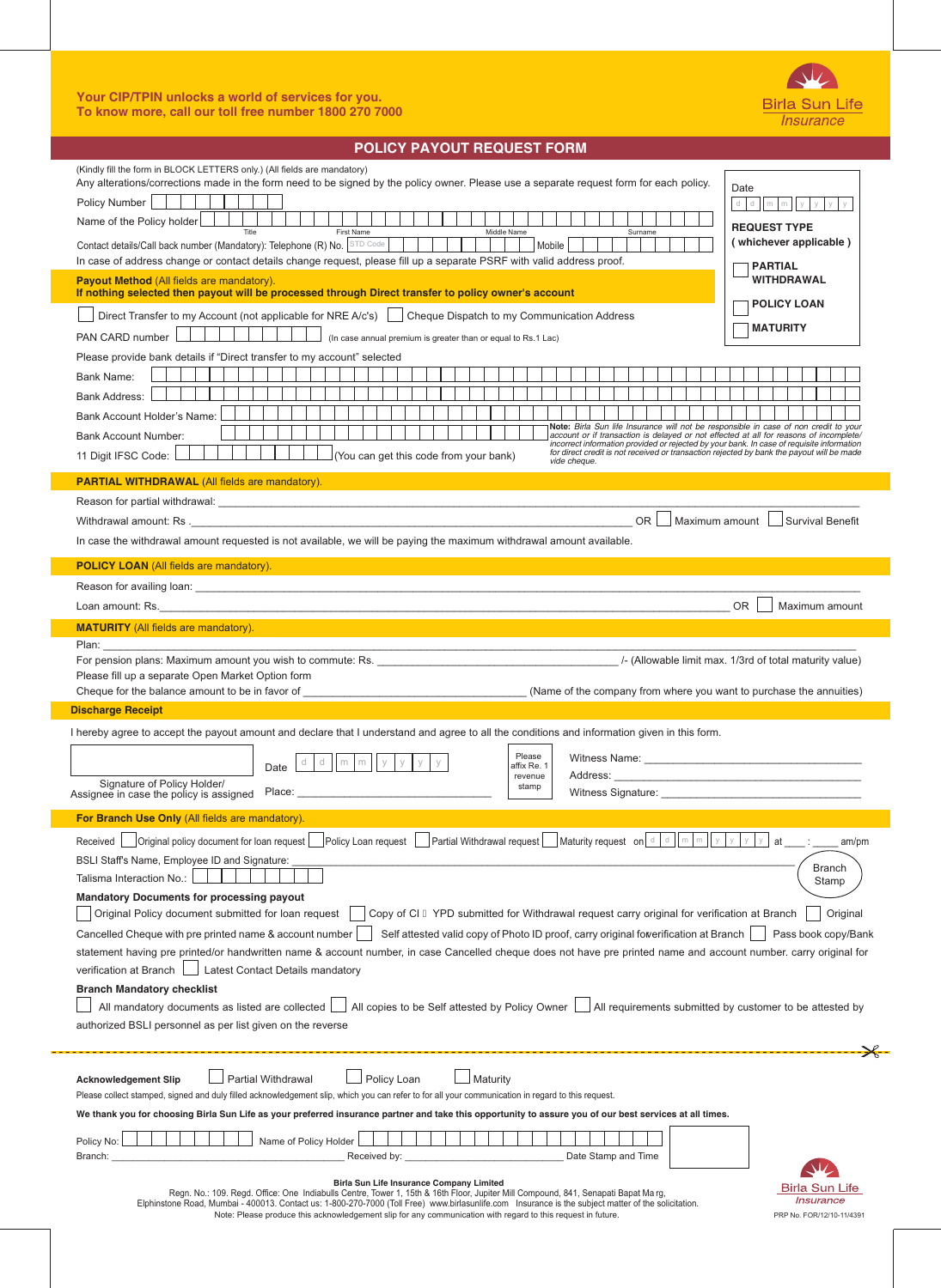## **Your CIP/TPIN unlocks a world of services for you. To know more, call our toll free number 1800 270 7000**



PRP No. FOR/12/10-11/4391

Birla Sun Life Insurance

| <b>POLICY PAYOUT REQUEST FORM</b>                                                                                                                                                                                                                                                                                                                                                                                                                                                                                                                                                                                                                                                                                                                                                                                                                                                                                                                                                                                                                                                                                                                                                                                                                                                                                                                                                                                                                                                                                                                                                                                                                                                                       |  |  |  |  |  |  |  |  |
|---------------------------------------------------------------------------------------------------------------------------------------------------------------------------------------------------------------------------------------------------------------------------------------------------------------------------------------------------------------------------------------------------------------------------------------------------------------------------------------------------------------------------------------------------------------------------------------------------------------------------------------------------------------------------------------------------------------------------------------------------------------------------------------------------------------------------------------------------------------------------------------------------------------------------------------------------------------------------------------------------------------------------------------------------------------------------------------------------------------------------------------------------------------------------------------------------------------------------------------------------------------------------------------------------------------------------------------------------------------------------------------------------------------------------------------------------------------------------------------------------------------------------------------------------------------------------------------------------------------------------------------------------------------------------------------------------------|--|--|--|--|--|--|--|--|
| (Kindly fill the form in BLOCK LETTERS only.) (All fields are mandatory)<br>Any alterations/corrections made in the form need to be signed by the policy owner. Please use a separate request form for each policy.<br>Date<br>Policy Number<br>d<br>$\mathsf{d}$<br>mm<br>Name of the Policy holder<br><b>REQUEST TYPE</b><br>First Name<br>Title<br>Middle Name<br>Surname<br>(whichever applicable)<br>Contact details/Call back number (Mandatory): Telephone (R) No. STD Code<br>Mobile<br>In case of address change or contact details change request, please fill up a separate PSRF with valid address proof.<br><b>PARTIAL</b><br>Payout Method (All fields are mandatory).<br><b>WITHDRAWAL</b><br>If nothing selected then payout will be processed through Direct transfer to policy owner's account<br><b>POLICY LOAN</b><br>Direct Transfer to my Account (not applicable for NRE A/c's)   Cheque Dispatch to my Communication Address<br><b>MATURITY</b><br>PAN CARD number<br>(In case annual premium is greater than or equal to Rs.1 Lac)<br>Please provide bank details if "Direct transfer to my account" selected<br><b>Bank Name:</b><br>Bank Address:<br>Bank Account Holder's Name:<br>Note: Birla Sun life Insurance will not be responsible in case of non credit to your<br>account or if transaction is delayed or not effected at all for reasons of incomplete/<br><b>Bank Account Number:</b><br>incorrect information provided or rejected by your bank. In case of requisite information<br>for direct credit is not received or transaction rejected by bank the payout will be made<br>(You can get this code from your bank)<br>11 Digit IFSC Code:<br>vide cheaue. |  |  |  |  |  |  |  |  |
| <b>PARTIAL WITHDRAWAL (All fields are mandatory).</b>                                                                                                                                                                                                                                                                                                                                                                                                                                                                                                                                                                                                                                                                                                                                                                                                                                                                                                                                                                                                                                                                                                                                                                                                                                                                                                                                                                                                                                                                                                                                                                                                                                                   |  |  |  |  |  |  |  |  |
| <b>OR</b><br>Maximum amount l<br><b>Survival Benefit</b><br>In case the withdrawal amount requested is not available, we will be paying the maximum withdrawal amount available.                                                                                                                                                                                                                                                                                                                                                                                                                                                                                                                                                                                                                                                                                                                                                                                                                                                                                                                                                                                                                                                                                                                                                                                                                                                                                                                                                                                                                                                                                                                        |  |  |  |  |  |  |  |  |
| <b>POLICY LOAN (All fields are mandatory).</b><br><b>Service Service</b>                                                                                                                                                                                                                                                                                                                                                                                                                                                                                                                                                                                                                                                                                                                                                                                                                                                                                                                                                                                                                                                                                                                                                                                                                                                                                                                                                                                                                                                                                                                                                                                                                                |  |  |  |  |  |  |  |  |
| OR.<br>Maximum amount                                                                                                                                                                                                                                                                                                                                                                                                                                                                                                                                                                                                                                                                                                                                                                                                                                                                                                                                                                                                                                                                                                                                                                                                                                                                                                                                                                                                                                                                                                                                                                                                                                                                                   |  |  |  |  |  |  |  |  |
| <b>MATURITY</b> (All fields are mandatory).<br>Plan: The contract of the contract of the contract of the contract of the contract of the contract of the contract of the contract of the contract of the contract of the contract of the contract of the contract of the cont<br>Please fill up a separate Open Market Option form<br><b>Discharge Receipt</b>                                                                                                                                                                                                                                                                                                                                                                                                                                                                                                                                                                                                                                                                                                                                                                                                                                                                                                                                                                                                                                                                                                                                                                                                                                                                                                                                          |  |  |  |  |  |  |  |  |
| I hereby agree to accept the payout amount and declare that I understand and agree to all the conditions and information given in this form.<br>Please<br>Witness Name: Name and the Witness Name:<br>d<br>d<br>$\mathsf{I}$ y<br>У<br>У<br>m<br>У<br>m<br>affix Re. 1<br>Date<br>Address:<br>revenue<br>Signature of Policy Holder/<br>stamp<br>Witness Signature: _<br>Assignee in case the policy is assigned Place:                                                                                                                                                                                                                                                                                                                                                                                                                                                                                                                                                                                                                                                                                                                                                                                                                                                                                                                                                                                                                                                                                                                                                                                                                                                                                 |  |  |  |  |  |  |  |  |
| For Branch Use Only (All fields are mandatory).                                                                                                                                                                                                                                                                                                                                                                                                                                                                                                                                                                                                                                                                                                                                                                                                                                                                                                                                                                                                                                                                                                                                                                                                                                                                                                                                                                                                                                                                                                                                                                                                                                                         |  |  |  |  |  |  |  |  |
| $\Box$ Maturity request on $\Box$ $\Box$ $\Box$<br>${\rm m}$<br>Partial Withdrawal request<br>У<br>Original policy document for loan request<br>Policy Loan request<br>at<br>Received<br>am/pm<br>BSLI Staff's Name, Employee ID and Signature:<br><b>Branch</b><br>Talisma Interaction No.:<br>Stamp<br><b>Mandatory Documents for processing payout</b><br>Copy of CI B YPD submitted for Withdrawal request carry original for verification at Branch<br>Original Policy document submitted for loan request<br>Original<br>Self attested valid copy of Photo ID proof, carry original fowerification at Branch<br>Cancelled Cheque with pre printed name & account number<br>Pass book copy/Bank<br>statement having pre printed/or handwritten name & account number, in case Cancelled cheque does not have pre printed name and account number. carry original for<br>Latest Contact Details mandatory<br>verification at Branch<br><b>Branch Mandatory checklist</b><br>All copies to be Self attested by Policy Owner<br>All requirements submitted by customer to be attested by<br>All mandatory documents as listed are collected<br>authorized BSLI personnel as per list given on the reverse                                                                                                                                                                                                                                                                                                                                                                                                                                                                                             |  |  |  |  |  |  |  |  |
| Partial Withdrawal<br>Policy Loan<br>Maturity<br><b>Acknowledgement Slip</b><br>Please collect stamped, signed and duly filled acknowledgement slip, which you can refer to for all your communication in regard to this request.<br>We thank you for choosing Birla Sun Life as your preferred insurance partner and take this opportunity to assure you of our best services at all times.<br>Name of Policy Holder<br>Policy No:<br>Date Stamp and Time<br>Received by:<br>Branch:                                                                                                                                                                                                                                                                                                                                                                                                                                                                                                                                                                                                                                                                                                                                                                                                                                                                                                                                                                                                                                                                                                                                                                                                                   |  |  |  |  |  |  |  |  |

|  |  | un Life Insurance Company Limited |                                                                                                                                                                                                                                                                                                                                                                                                                                                |  |
|--|--|-----------------------------------|------------------------------------------------------------------------------------------------------------------------------------------------------------------------------------------------------------------------------------------------------------------------------------------------------------------------------------------------------------------------------------------------------------------------------------------------|--|
|  |  |                                   | e, Tower 1, 15th & 16th Floor, Jupiter Mill Compound, 841, Sena                                                                                                                                                                                                                                                                                                                                                                                |  |
|  |  |                                   | $\frac{1}{2} \left( \frac{1}{2} \left( \frac{1}{2} \right) + \frac{1}{2} \left( \frac{1}{2} \right) + \frac{1}{2} \left( \frac{1}{2} \right) + \frac{1}{2} \left( \frac{1}{2} \right) + \frac{1}{2} \left( \frac{1}{2} \right) + \frac{1}{2} \left( \frac{1}{2} \right) + \frac{1}{2} \left( \frac{1}{2} \right) + \frac{1}{2} \left( \frac{1}{2} \right) + \frac{1}{2} \left( \frac{1}{2} \right) + \frac{1}{2} \left( \frac{1}{2} \right) +$ |  |

Birla Sun Life Insurance Company Limited<br>Regn. No.: 109. Regd. Office: One Indiabulls Centre, Tower 1, 15th & 16th Floor, Jupiter Mill Compound, 841, Senapati Bapat Marg,<br>Elphinstone Road, Mumbai - 400013. Contact us: 1-80

Note: Please produce this acknowledgement slip for any communication with regard to this request in future.